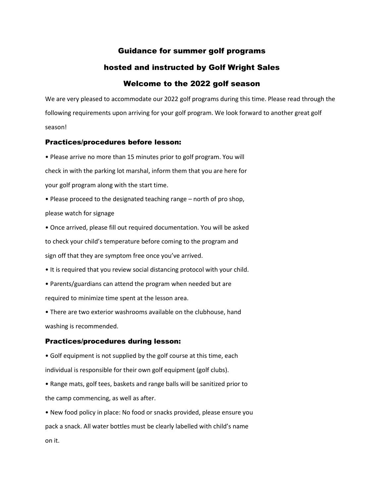# Guidance for summer golf programs

# hosted and instructed by Golf Wright Sales

# Welcome to the 2022 golf season

We are very pleased to accommodate our 2022 golf programs during this time. Please read through the following requirements upon arriving for your golf program. We look forward to another great golf season!

#### Practices/procedures before lesson:

• Please arrive no more than 15 minutes prior to golf program. You will check in with the parking lot marshal, inform them that you are here for your golf program along with the start time.

• Please proceed to the designated teaching range – north of pro shop, please watch for signage

• Once arrived, please fill out required documentation. You will be asked to check your child's temperature before coming to the program and sign off that they are symptom free once you've arrived.

• It is required that you review social distancing protocol with your child.

• Parents/guardians can attend the program when needed but are required to minimize time spent at the lesson area.

• There are two exterior washrooms available on the clubhouse, hand washing is recommended.

### Practices/procedures during lesson:

• Golf equipment is not supplied by the golf course at this time, each individual is responsible for their own golf equipment (golf clubs).

• Range mats, golf tees, baskets and range balls will be sanitized prior to the camp commencing, as well as after.

• New food policy in place: No food or snacks provided, please ensure you pack a snack. All water bottles must be clearly labelled with child's name on it.